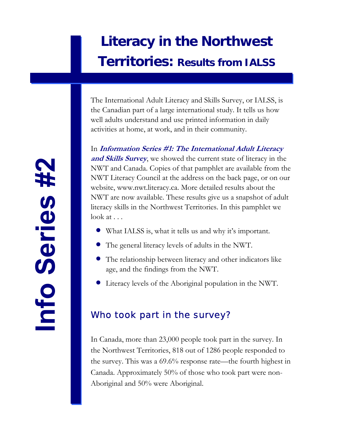### **Literacy in the Northwest Territories: Results from IALSS**

The International Adult Literacy and Skills Survey, or IALSS, is the Canadian part of a large international study. It tells us how well adults understand and use printed information in daily activities at home, at work, and in their community.

In **Information Series #1: The International Adult Literacy and Skills Survey**, we showed the current state of literacy in the NWT and Canada. Copies of that pamphlet are available from the NWT Literacy Council at the address on the back page, or on our website, www.nwt.literacy.ca. More detailed results about the NWT are now available. These results give us a snapshot of adult literacy skills in the Northwest Territories. In this pamphlet we  $\text{look at } \ldots$ 

- What IALSS is, what it tells us and why it's important.
- The general literacy levels of adults in the NWT.
- The relationship between literacy and other indicators like age, and the findings from the NWT.
- Literacy levels of the Aboriginal population in the NWT.

### Who took part in the survey?

In Canada, more than 23,000 people took part in the survey. In the Northwest Territories, 818 out of 1286 people responded to the survey. This was a 69.6% response rate—the fourth highest in Canada. Approximately 50% of those who took part were non-Aboriginal and 50% were Aboriginal.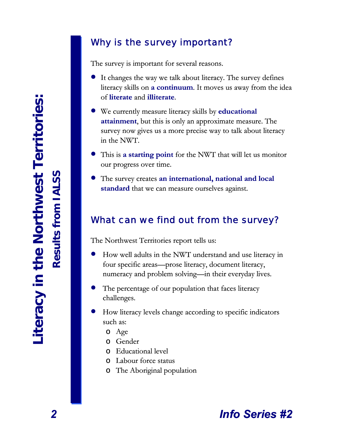### Why is the survey important?

The survey is important for several reasons.

- It changes the way we talk about literacy. The survey defines literacy skills on **a continuum**. It moves us away from the idea of **literate** and **illiterate**.
- We currently measure literacy skills by **educational attainment**, but this is only an approximate measure. The survey now gives us a more precise way to talk about literacy in the NWT.
- This is **a starting point** for the NWT that will let us monitor our progress over time.
- The survey creates **an international, national and local standard** that we can measure ourselves against.

### What can we find out from the survey?

The Northwest Territories report tells us:

- How well adults in the NWT understand and use literacy in four specific areas—prose literacy, document literacy, numeracy and problem solving—in their everyday lives.
- The percentage of our population that faces literacy challenges.
- How literacy levels change according to specific indicators such as:
	- o Age
	- o Gender
	- o Educational level
	- o Labour force status
	- o The Aboriginal population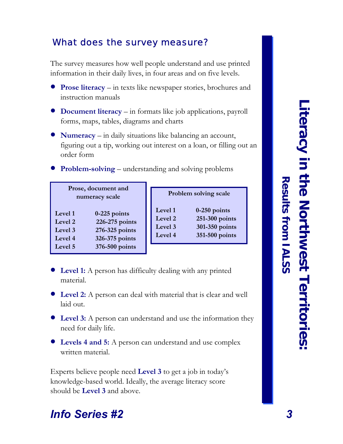# Literacy in the Northwest Territories **Literacy in the Northwest Territories:**

**Results from IALSS**

Results from IALSS

### What does the survey measure?

The survey measures how well people understand and use printed information in their daily lives, in four areas and on five levels.

- **Prose literacy** in texts like newspaper stories, brochures and instruction manuals
- **Document literacy** in formats like job applications, payroll forms, maps, tables, diagrams and charts
- **Numeracy** in daily situations like balancing an account, figuring out a tip, working out interest on a loan, or filling out an order form
- **Problem-solving** understanding and solving problems •

| Prose, document and<br>numeracy scale |                |  |  |  |
|---------------------------------------|----------------|--|--|--|
| $0-225$ points<br>Level 1             |                |  |  |  |
| 226-275 points<br>Level <sub>2</sub>  |                |  |  |  |
| 276-325 points<br>Level 3             |                |  |  |  |
| 326-375 points<br>Level 4             |                |  |  |  |
| Level <sub>5</sub>                    | 376-500 points |  |  |  |

| Problem solving scale     |                |  |  |  |  |
|---------------------------|----------------|--|--|--|--|
| Level 1                   | $0-250$ points |  |  |  |  |
| 251-300 points<br>Level 2 |                |  |  |  |  |
| 301-350 points<br>Level 3 |                |  |  |  |  |
| Level 4                   | 351-500 points |  |  |  |  |

- **Level 1:** A person has difficulty dealing with any printed material.
- **Level 2:** A person can deal with material that is clear and well laid out.
- **Level 3:** A person can understand and use the information they need for daily life.
- **Levels 4 and 5:** A person can understand and use complex written material.

Experts believe people need **Level 3** to get a job in today's knowledge-based world. Ideally, the average literacy score should be **Level 3** and above.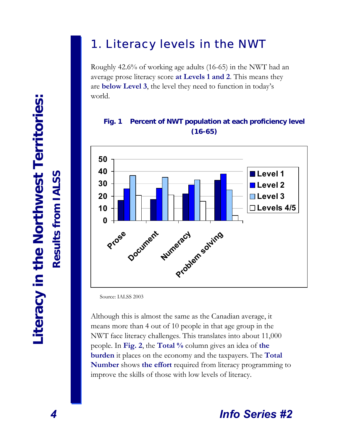### 1. Literacy levels in the NWT

Roughly 42.6% of working age adults (16-65) in the NWT had an average prose literacy score **at Levels 1 and 2**. This means they are **below Level 3**, the level they need to function in today's world.

### **Fig. 1 Percent of NWT population at each proficiency level (16-65)**



Source: IALSS 2003

Although this is almost the same as the Canadian average, it means more than 4 out of 10 people in that age group in the NWT face literacy challenges. This translates into about 11,000 people. In **Fig. 2**, the **Total %** column gives an idea of **the burden** it places on the economy and the taxpayers. The **Total Number** shows **the effort** required from literacy programming to improve the skills of those with low levels of literacy.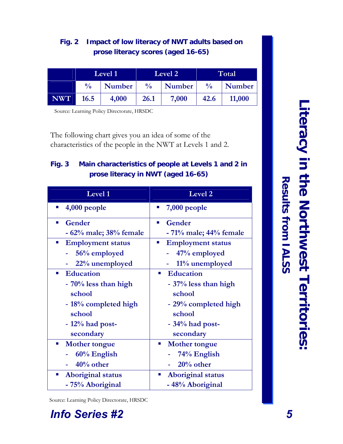### **Fig. 2 Impact of low literacy of NWT adults based on prose literacy scores (aged 16-65)**

|            |               | Level 2<br>Level 1 |               |        |               | Total  |
|------------|---------------|--------------------|---------------|--------|---------------|--------|
|            | $\frac{0}{0}$ | Number             | $\frac{0}{0}$ | Number | $\frac{0}{0}$ | Number |
| <b>NWT</b> | 16.5          | 4,000              | 26.1          | 7,000  | 42.6          | 11,000 |

Source: Learning Policy Directorate, HRSDC

The following chart gives you an idea of some of the characteristics of the people in the NWT at Levels 1 and 2.

### **Fig. 3 Main characteristics of people at Levels 1 and 2 in prose literacy in NWT (aged 16-65)**

| Level 1                                                 | Level <sub>2</sub>                                      |  |  |
|---------------------------------------------------------|---------------------------------------------------------|--|--|
| $4,000$ people                                          | 7,000 people<br>ш                                       |  |  |
| Gender<br>п                                             | Gender<br>$\mathcal{L}_{\mathcal{A}}$                   |  |  |
| - 62% male; 38% female                                  | $-71\%$ male; $44\%$ female                             |  |  |
| <b>Employment status</b><br>$\mathcal{L}_{\mathcal{A}}$ | <b>Employment status</b><br>$\mathcal{L}_{\mathcal{A}}$ |  |  |
| 56% employed                                            | 47% employed                                            |  |  |
| 22% unemployed                                          | 11% unemployed                                          |  |  |
| <b>Education</b><br>$\mathbf{r}$                        | <b>Education</b><br>$\mathbf{r}$                        |  |  |
| - 70% less than high                                    | - 37% less than high                                    |  |  |
| school                                                  | school                                                  |  |  |
| - 18% completed high                                    | - 29% completed high                                    |  |  |
| school                                                  | school                                                  |  |  |
| $-12\%$ had post-                                       | $-34\%$ had post-                                       |  |  |
| secondary                                               | secondary                                               |  |  |
| <b>Mother tongue</b><br>$\sim$                          | <b>Mother tongue</b><br>$\mathcal{L}_{\mathcal{A}}$     |  |  |
| 60% English                                             | 74% English                                             |  |  |
| $40%$ other                                             | $20%$ other                                             |  |  |
| <b>Aboriginal status</b>                                | <b>Aboriginal status</b><br>п                           |  |  |
| - 75% Aboriginal                                        | - 48% Aboriginal                                        |  |  |

Source: Learning Policy Directorate, HRSDC

### *Info Series #2*

**Results from IALSS**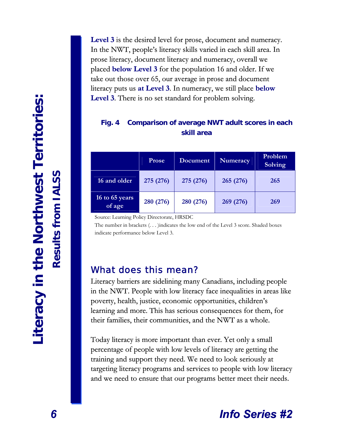**Level 3** is the desired level for prose, document and numeracy. In the NWT, people's literacy skills varied in each skill area. In prose literacy, document literacy and numeracy, overall we placed **below Level 3** for the population 16 and older. If we take out those over 65, our average in prose and document literacy puts us **at Level 3**. In numeracy, we still place **below Level 3**. There is no set standard for problem solving.

### **Fig. 4 Comparison of average NWT adult scores in each skill area**

|                          | <b>Prose</b> | Document  | <b>Numeracy</b> | Problem<br>Solving |
|--------------------------|--------------|-----------|-----------------|--------------------|
| 16 and older             | 275 (276)    | 275 (276) | 265 (276)       | 265                |
| 16 to 65 years<br>of age | 280 (276)    | 280 (276) | 269 (276)       | 269                |

Source: Learning Policy Directorate, HRSDC

The number in brackets (. . . )indicates the low end of the Level 3 score. Shaded boxes indicate performance below Level 3.

### What does this mean?

Literacy barriers are sidelining many Canadians, including people in the NWT. People with low literacy face inequalities in areas like poverty, health, justice, economic opportunities, children's learning and more. This has serious consequences for them, for their families, their communities, and the NWT as a whole.

Today literacy is more important than ever. Yet only a small percentage of people with low levels of literacy are getting the training and support they need. We need to look seriously at targeting literacy programs and services to people with low literacy and we need to ensure that our programs better meet their needs.

### *Info Series #2*

**Results from IALSS**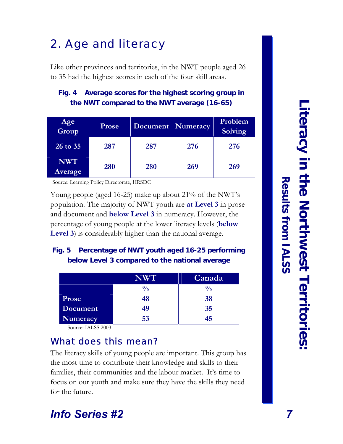### 2. Age and literacy

Like other provinces and territories, in the NWT people aged 26 to 35 had the highest scores in each of the four skill areas.

### **Fig. 4 Average scores for the highest scoring group in the NWT compared to the NWT average (16-65)**

| Age<br>Group          | <b>Prose</b> | Document   Numeracy |     | Problem<br><b>Solving</b> |
|-----------------------|--------------|---------------------|-----|---------------------------|
| 26 to 35              | 287          | 287                 | 276 | 276                       |
| <b>NWT</b><br>Average | 280          | 280                 | 269 | 269                       |

Source: Learning Policy Directorate, HRSDC

Young people (aged 16-25) make up about 21% of the NWT's population. The majority of NWT youth are **at Level 3** in prose and document and **below Level 3** in numeracy. However, the percentage of young people at the lower literacy levels (**below Level 3**) is considerably higher than the national average.

### **Fig. 5 Percentage of NWT youth aged 16-25 performing below Level 3 compared to the national average**

|          | NWT           | Canada |
|----------|---------------|--------|
|          | $\frac{0}{0}$ | 0/     |
| Prose    | 48            | 38     |
| Document | 49            | 35     |
| Numeracy | 53            | 45     |

Source: IALSS 2003

### What does this mean?

The literacy skills of young people are important. This group has the most time to contribute their knowledge and skills to their families, their communities and the labour market. It's time to focus on our youth and make sure they have the skills they need for the future.

## Literacy in the Northwest Territories **Literacy in the Northwest Territories:**  Results from IALSS

**Results from IALSS**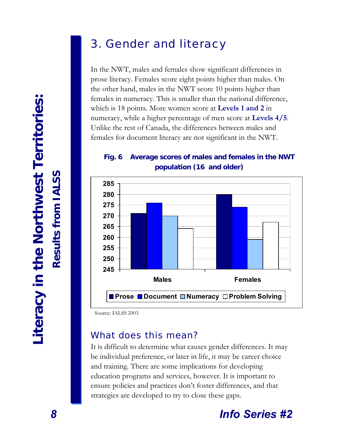### 3. Gender and literacy

In the NWT, males and females show significant differences in prose literacy. Females score eight points higher than males. On the other hand, males in the NWT score 10 points higher than females in numeracy. This is smaller than the national difference, which is 18 points. More women score at **Levels 1 and 2** in numeracy, while a higher percentage of men score at **Levels 4/5**. Unlike the rest of Canada, the differences between males and females for document literacy are not significant in the NWT.

### **Fig. 6 Average scores of males and females in the NWT population (16 and older)**



Source: IALSS 2003

### What does this mean?

It is difficult to determine what causes gender differences. It may be individual preference, or later in life, it may be career choice and training. There are some implications for developing education programs and services, however. It is important to ensure policies and practices don't foster differences, and that strategies are developed to try to close these gaps.

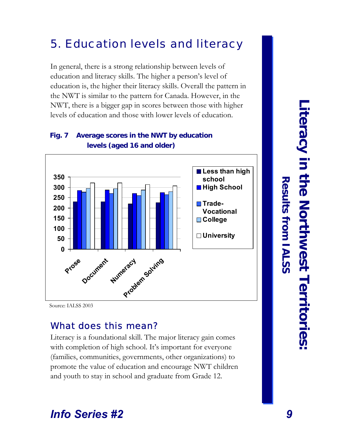### 5. Education levels and literacy

In general, there is a strong relationship between levels of education and literacy skills. The higher a person's level of education is, the higher their literacy skills. Overall the pattern in the NWT is similar to the pattern for Canada. However, in the NWT, there is a bigger gap in scores between those with higher levels of education and those with lower levels of education.



### **Fig. 7 Average scores in the NWT by education levels (aged 16 and older)**

Source: IALSS 2003

### What does this mean?

Literacy is a foundational skill. The major literacy gain comes with completion of high school. It's important for everyone (families, communities, governments, other organizations) to promote the value of education and encourage NWT children and youth to stay in school and graduate from Grade 12.

### **Literacy in theNorthwestTerritories:**

**Results**

 **from IALSS**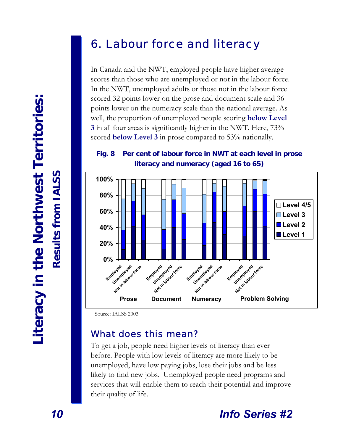### 6. Labour force and literacy

In Canada and the NWT, employed people have higher average scores than those who are unemployed or not in the labour force. In the NWT, unemployed adults or those not in the labour force scored 32 points lower on the prose and document scale and 36 points lower on the numeracy scale than the national average. As well, the proportion of unemployed people scoring **below Level 3** in all four areas is significantly higher in the NWT. Here, 73% scored **below Level 3** in prose compared to 53% nationally.

**Fig. 8 Per cent of labour force in NWT at each level in prose literacy and numeracy (aged 16 to 65)** 



Source: IALSS 2003

### What does this mean?

To get a job, people need higher levels of literacy than ever before. People with low levels of literacy are more likely to be unemployed, have low paying jobs, lose their jobs and be less likely to find new jobs. Unemployed people need programs and services that will enable them to reach their potential and improve their quality of life.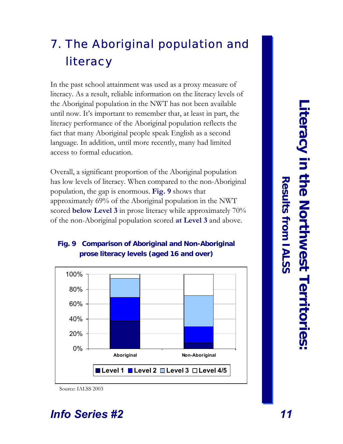### 7. The Aboriginal population and literacy

In the past school attainment was used as a proxy measure of literacy. As a result, reliable information on the literacy levels of the Aboriginal population in the NWT has not been available until now. It's important to remember that, at least in part, the literacy performance of the Aboriginal population reflects the fact that many Aboriginal people speak English as a second language. In addition, until more recently, many had limited access to formal education.

Overall, a significant proportion of the Aboriginal population has low levels of literacy. When compared to the non-Aboriginal population, the gap is enormous. **Fig. 9** shows that approximately 69% of the Aboriginal population in the NWT scored **below Level 3** in prose literacy while approximately 70% of the non-Aboriginal population scored **at Level 3** and above.

### **Fig. 9 Comparison of Aboriginal and Non-Aboriginal prose literacy levels (aged 16 and over)**



Source: IALSS 2003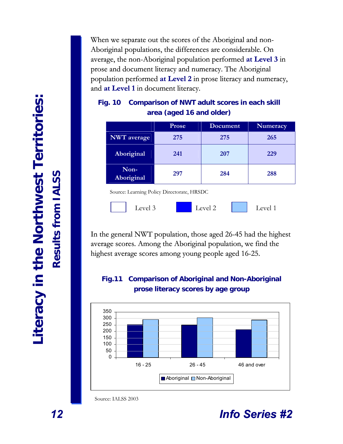When we separate out the scores of the Aboriginal and non-Aboriginal populations, the differences are considerable. On average, the non-Aboriginal population performed at Level 3 in prose and document literacy and numeracy. The Aboriginal population performed at Level 2 in prose literacy and numeracy, and **at Level 1** in document literacy.

|                    | Prose | Document | Numeracy |
|--------------------|-------|----------|----------|
| <b>NWT</b> average | 275   | 275      | 265      |
| Aboriginal         | 241   | 207      | 229      |
| Non-<br>Aboriginal | 297   | 284      | 288      |

### **Fig. 10 Comparison of NWT adult scores in each skill area (aged 16 and older)**

Source: Learning Policy Directorate, HRSDC



In the general NWT population, those aged 26-45 had the highest average scores. Among the Aboriginal population, we find the highest average scores among young people aged 16-25.

### **Fig.11 Comparison of Aboriginal and Non-Aboriginal prose literacy scores by age group**



Source: IALSS 2003

**:**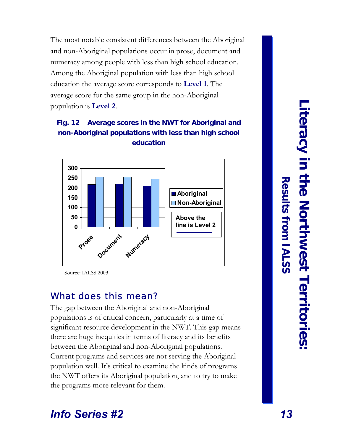The most notable consistent differences between the Aboriginal and non-Aboriginal populations occur in prose, document and numeracy among people with less than high school education. Among the Aboriginal population with less than high school education the average score corresponds to **Level 1**. The average score for the same group in the non-Aboriginal population is **Level 2**.

### **Fig. 12 Average scores in the NWT for Aboriginal and non-Aboriginal populations with less than high school education**



Source: IALSS 2003

### What does this mean?

The gap between the Aboriginal and non-Aboriginal populations is of critical concern, particularly at a time of significant resource development in the NWT. This gap means there are huge inequities in terms of literacy and its benefits between the Aboriginal and non-Aboriginal populations. Current programs and services are not serving the Aboriginal population well. It's critical to examine the kinds of programs the NWT offers its Aboriginal population, and to try to make the programs more relevant for them.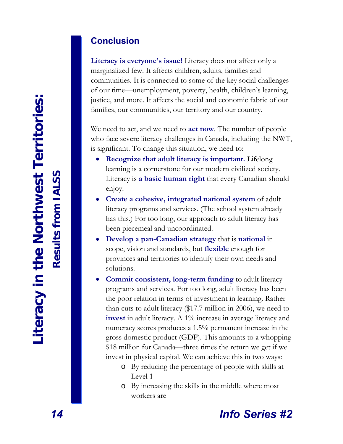### **Conclusion**

**Literacy is everyone's issue!** Literacy does not affect only a marginalized few. It affects children, adults, families and communities. It is connected to some of the key social challenges of our time—unemployment, poverty, health, children's learning, justice, and more. It affects the social and economic fabric of our families, our communities, our territory and our country.

We need to act, and we need to **act now**. The number of people who face severe literacy challenges in Canada, including the NWT, is significant. To change this situation, we need to:

- **Recognize that adult literacy is important.** Lifelong learning is a cornerstone for our modern civilized society. Literacy is **a basic human right** that every Canadian should enjoy.
- **Create a cohesive, integrated national system** of adult literacy programs and services. (The school system already has this.) For too long, our approach to adult literacy has been piecemeal and uncoordinated.
- **Develop a pan-Canadian strategy** that is **national** in scope, vision and standards, but **flexible** enough for provinces and territories to identify their own needs and solutions.
- **Commit consistent, long-term funding** to adult literacy programs and services. For too long, adult literacy has been the poor relation in terms of investment in learning. Rather than cuts to adult literacy (\$17.7 million in 2006), we need to **invest** in adult literacy. A 1% increase in average literacy and numeracy scores produces a 1.5% permanent increase in the gross domestic product (GDP). This amounts to a whopping \$18 million for Canada—three times the return we get if we invest in physical capital. We can achieve this in two ways:
	- By reducing the percentage of people with skills at o Level 1
	- By increasing the skills in the middle where most o workers are

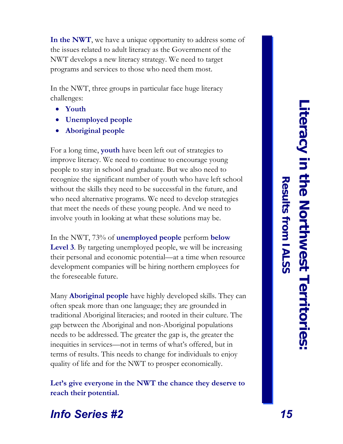**In the NWT**, we have a unique opportunity to address some of the issues related to adult literacy as the Government of the NWT develops a new literacy strategy. We need to target programs and services to those who need them most.

In the NWT, three groups in particular face huge literacy challenges:

- **Youth** •
- **Unemployed people**  •
- **Aboriginal people** •

For a long time, **youth** have been left out of strategies to improve literacy. We need to continue to encourage young people to stay in school and graduate. But we also need to recognize the significant number of youth who have left school without the skills they need to be successful in the future, and who need alternative programs. We need to develop strategies that meet the needs of these young people. And we need to involve youth in looking at what these solutions may be.

In the NWT, 73% of **unemployed people** perform **below Level 3**. By targeting unemployed people, we will be increasing their personal and economic potential—at a time when resource development companies will be hiring northern employees for the foreseeable future.

Many **Aboriginal people** have highly developed skills. They can often speak more than one language; they are grounded in traditional Aboriginal literacies; and rooted in their culture. The gap between the Aboriginal and non-Aboriginal populations needs to be addressed. The greater the gap is, the greater the inequities in services—not in terms of what's offered, but in terms of results. This needs to change for individuals to enjoy quality of life and for the NWT to prosper economically.

**Let's give everyone in the NWT the chance they deserve to reach their potential.** 

**Results**

 **from IALSS**